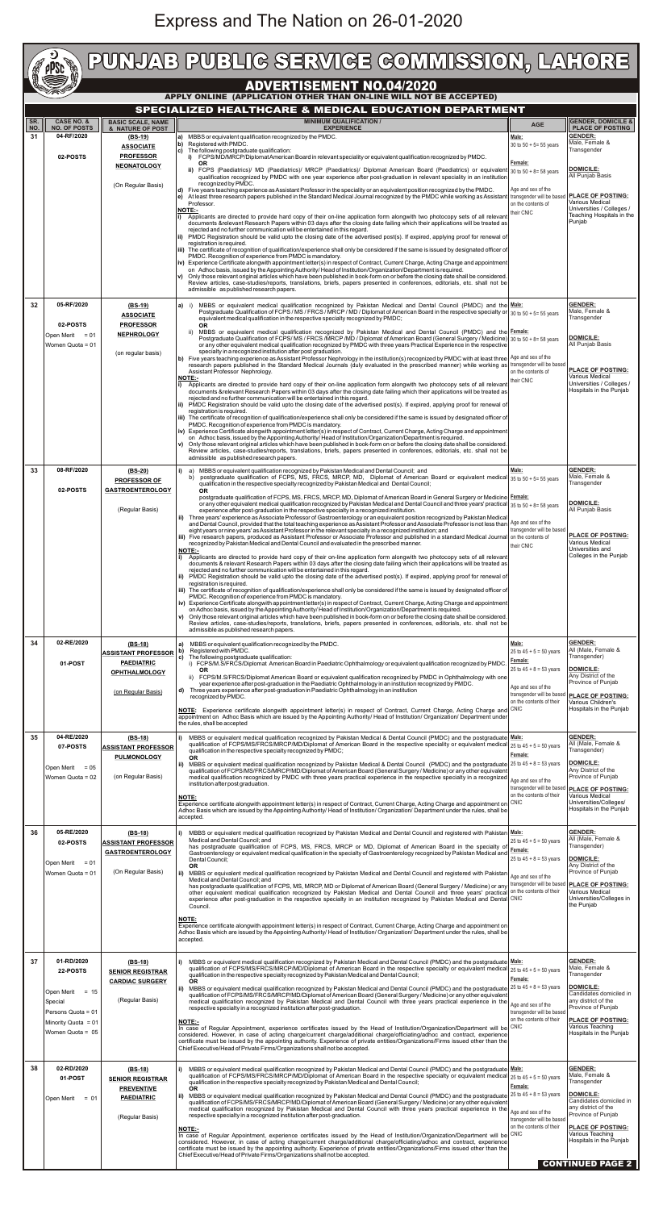## Express and The Nation on 26-01-2020

|                                                                                                                                                                | PUNJAB PUBLIG SERVIGE GOMMISSION, LAHORE<br><b>COLLECTION</b><br><b>PPSC</b> |                                                                   |                                                                                                                                                                                                                                                                                                                                                                                                                                                                                                                   |                                                                      |                                                                                                     |  |  |  |  |  |  |
|----------------------------------------------------------------------------------------------------------------------------------------------------------------|------------------------------------------------------------------------------|-------------------------------------------------------------------|-------------------------------------------------------------------------------------------------------------------------------------------------------------------------------------------------------------------------------------------------------------------------------------------------------------------------------------------------------------------------------------------------------------------------------------------------------------------------------------------------------------------|----------------------------------------------------------------------|-----------------------------------------------------------------------------------------------------|--|--|--|--|--|--|
| <b>ADVERTISEMENT NO.04/2020</b><br>APPLY ONLINE (APPLICATION OTHER THAN ON-LINE WILL NOT BE ACCEPTED)<br>SPECIALIZED HEALTHCARE & MEDICAL EDUCATION DEPARTMENT |                                                                              |                                                                   |                                                                                                                                                                                                                                                                                                                                                                                                                                                                                                                   |                                                                      |                                                                                                     |  |  |  |  |  |  |
| SR.<br>NO.                                                                                                                                                     | <b>CASE NO. &amp;</b><br><b>NO. OF POSTS</b>                                 | <b>BASIC SCALE, NAME</b><br>& NATURE OF POST                      | <b>MINIMUM QUALIFICATION /</b><br><b>EXPERIENCE</b>                                                                                                                                                                                                                                                                                                                                                                                                                                                               | <b>AGE</b>                                                           | <b>GENDER, DOMICILE &amp;</b><br><b>PLACE OF POSTING</b>                                            |  |  |  |  |  |  |
| 31                                                                                                                                                             | 04-RF/2020                                                                   | $(BS-19)$<br><b>ASSOCIATE</b>                                     | MBBS or equivalent qualification recognized by the PMDC.<br>Registered with PMDC.<br>lb)<br>The following postgraduate qualification:<br>lc)                                                                                                                                                                                                                                                                                                                                                                      | Male:<br>30 to $50 + 5 = 55$ years                                   | <b>GENDER:</b><br>Male, Female &<br>Transgender                                                     |  |  |  |  |  |  |
|                                                                                                                                                                | 02-POSTS                                                                     | <b>PROFESSOR</b><br><b>NEONATOLOGY</b>                            | i) FCPS/MD/MRCP/Diplomat American Board in relevant speciality or equivalent qualification recognized by PMDC.<br><b>OR</b><br>ii) FCPS (Paediatrics)/ MD (Paediatrics)/ MRCP (Paediatrics)/ Diplomat American Board (Paediatrics) or equivalent 30 to 50 + 8= 58 years                                                                                                                                                                                                                                           | Female:                                                              | DOMICILE:                                                                                           |  |  |  |  |  |  |
|                                                                                                                                                                |                                                                              | (On Regular Basis)                                                | qualification recognized by PMDC with one year experience after post-graduation in relevant speciality in an institution<br>recognized by PMDC.<br>d) Five years teaching experience as Assistant Professor in the speciality or an equivalent position recognized by the PMDC.                                                                                                                                                                                                                                   | Age and sex of the                                                   | All Punjab Basis<br><b>PLACE OF POSTING:</b>                                                        |  |  |  |  |  |  |
|                                                                                                                                                                |                                                                              |                                                                   | At least three research papers published in the Standard Medical Journal recognized by the PMDC while working as Assistant<br>le).<br>Professor.<br>NOTE:-<br>Applicants are directed to provide hard copy of their on-line application form alongwith two photocopy sets of all relevant                                                                                                                                                                                                                         | transgender will be based<br>on the contents of<br>their CNIC        | Various Medical<br>Universities / Colleges /<br>Teaching Hospitals in the                           |  |  |  |  |  |  |
|                                                                                                                                                                |                                                                              |                                                                   | documents &relevant Research Papers within 03 days after the closing date failing which their applications will be treated as<br>rejected and no further communication will be entertained in this regard.<br>PMDC Registration should be valid upto the closing date of the advertised post(s). If expired, applying proof for renewal of<br>lii).                                                                                                                                                               |                                                                      | Punjab                                                                                              |  |  |  |  |  |  |
|                                                                                                                                                                |                                                                              |                                                                   | registration is required.<br>iii) The certificate of recognition of qualification/experience shall only be considered if the same is issued by designated officer of<br>PMDC. Recognition of experience from PMDC is mandatory.                                                                                                                                                                                                                                                                                   |                                                                      |                                                                                                     |  |  |  |  |  |  |
|                                                                                                                                                                |                                                                              |                                                                   | iv) Experience Certificate alongwith appointment letter(s) in respect of Contract, Current Charge, Acting Charge and appointment<br>on Adhoc basis, issued by the Appointing Authority/Head of Institution/Organization/Department is required.<br>Only those relevant original articles which have been published in book-form on or before the closing date shall be considered.<br>Review articles, case-studies/reports, translations, briefs, papers presented in conferences, editorials, etc. shall not be |                                                                      |                                                                                                     |  |  |  |  |  |  |
|                                                                                                                                                                | 05-RF/2020                                                                   |                                                                   | admissible as published research papers.                                                                                                                                                                                                                                                                                                                                                                                                                                                                          |                                                                      | <b>GENDER:</b>                                                                                      |  |  |  |  |  |  |
| 32                                                                                                                                                             | 02-POSTS                                                                     | $(BS-19)$<br><b>ASSOCIATE</b><br><b>PROFESSOR</b>                 | MBBS or equivalent medical qualification recognized by Pakistan Medical and Dental Council (PMDC) and the Male:<br>la) i)<br>Postgraduate Qualification of FCPS / MS / FRCS / MRCP / MD / Diplomat of American Board in the respective specialty or 30 to 50 + 5= 55 years<br>equivalent medical qualification in the respective specialty recognized by PMDC;<br><b>OR</b>                                                                                                                                       |                                                                      | Male, Female &<br>Transgender                                                                       |  |  |  |  |  |  |
|                                                                                                                                                                | Open Merit<br>$= 01$<br>Women Quota = 01                                     | <b>NEPHROLOGY</b>                                                 | ii) MBBS or equivalent medical qualification recognized by Pakistan Medical and Dental Council (PMDC) and the Female:<br>Postgraduate Qualification of FCPS/ MS / FRCS /MRCP /MD / Diplomat of American Board (General Surgery / Medicine) 30 to 50 + 8= 58 years<br>or any other equivalent medical qualification recognized by PMDC with three years Practical Experience in the respective                                                                                                                     |                                                                      | <b>DOMICILE:</b><br>All Punjab Basis                                                                |  |  |  |  |  |  |
|                                                                                                                                                                |                                                                              | (on regular basis)                                                | specialty in a recognized institution after post graduation.<br>b) Five years teaching experience as Assistant Professor Nephrology in the institution(s) recognized by PMDC with at least three Age and sex of the<br>research papers published in the Standard Medical Journals (duly evaluated in the prescribed manner) while working as transgender will be based                                                                                                                                            |                                                                      |                                                                                                     |  |  |  |  |  |  |
|                                                                                                                                                                |                                                                              |                                                                   | Assistant Professor Nephrology.<br>NOTE:-<br>Applicants are directed to provide hard copy of their on-line application form alongwith two photocopy sets of all relevant                                                                                                                                                                                                                                                                                                                                          | on the contents of<br>their CNIC                                     | <b>PLACE OF POSTING:</b><br>Various Medical<br>Universities / Colleges /<br>Hospitals in the Punjab |  |  |  |  |  |  |
|                                                                                                                                                                |                                                                              |                                                                   | documents & relevant Research Papers within 03 days after the closing date failing which their applications will be treated as<br>rejected and no further communication will be entertained in this regard.<br>PMDC Registration should be valid upto the closing date of the advertised post(s). If expired, applying proof for renewal of<br>l ii).<br>registration is reguired.                                                                                                                                |                                                                      |                                                                                                     |  |  |  |  |  |  |
|                                                                                                                                                                |                                                                              |                                                                   | iii) The certificate of recognition of qualification/experience shall only be considered if the same is issued by designated officer of<br>PMDC. Recognition of experience from PMDC is mandatory.<br>iv) Experience Certificate alongwith appointment letter(s) in respect of Contract, Current Charge, Acting Charge and appointment                                                                                                                                                                            |                                                                      |                                                                                                     |  |  |  |  |  |  |
|                                                                                                                                                                |                                                                              |                                                                   | on Adhoc basis, issued by the Appointing Authority/ Head of Institution/Organization/Department is required.<br>Only those relevant original articles which have been published in book-form on or before the closing date shall be considered.<br>V)<br>Review articles, case-studies/reports, translations, briefs, papers presented in conferences, editorials, etc. shall not be                                                                                                                              |                                                                      |                                                                                                     |  |  |  |  |  |  |
| 33                                                                                                                                                             | 08-RF/2020                                                                   | $(BS-20)$                                                         | admissible as published research papers.<br>MBBS or equivalent qualification recognized by Pakistan Medical and Dental Council; and<br>i)<br>a)<br>postgraduate qualification of FCPS, MS, FRCS, MRCP, MD, Diplomat of American Board or equivalent medical 35 to 50 + 5= 55 years<br>b)                                                                                                                                                                                                                          | Male:                                                                | <b>GENDER:</b><br>Male, Female &                                                                    |  |  |  |  |  |  |
|                                                                                                                                                                | 02-POSTS                                                                     | <b>PROFESSOR OF</b><br><b>GASTROENTEROLOGY</b>                    | qualification in the respective specialty recognized by Pakistan Medical and Dental Council;<br><b>OR</b><br>postgraduate qualification of FCPS, MS, FRCS, MRCP, MD, Diplomat of American Board in General Surgery or Medicine Female:                                                                                                                                                                                                                                                                            |                                                                      | Transgender                                                                                         |  |  |  |  |  |  |
|                                                                                                                                                                |                                                                              | (Regular Basis)                                                   | or any other equivalent medical qualification recognized by Pakistan Medical and Dental Council and three years' practical 35 to 50 + 8= 58 years<br>experience after post-graduation in the respective specialty in a recognized institution.<br>ii) Three years' experience as Associate Professor of Gastroenterology or an equivalent position recognized by Pakistan Medical                                                                                                                                 | Age and sex of the                                                   | <b>DOMICILE:</b><br>All Punjab Basis                                                                |  |  |  |  |  |  |
|                                                                                                                                                                |                                                                              |                                                                   | and Dental Council, provided that the total teaching experience as Assistant Professor and Associate Professor is not less than<br>eight years or nine years' as Assistant Professor in the relevant specialty in a recognized institution; and<br>iii) Five research papers, produced as Assistant Professor or Associate Professor and published in a standard Medical Journal on the contents of<br>recognized by Pakistan Medical and Dental Council and evaluated in the prescribed manner.                  | transgender will be based                                            | <b>PLACE OF POSTING:</b><br>Various Medical                                                         |  |  |  |  |  |  |
|                                                                                                                                                                |                                                                              |                                                                   | <b>NOTE:-</b><br>Applicants are directed to provide hard copy of their on-line application form alongwith two photocopy sets of all relevant<br>i)<br>documents & relevant Research Papers within 03 days after the closing date failing which their applications will be treated as                                                                                                                                                                                                                              | their CNIC                                                           | Universities and<br>Colleges in the Punjab                                                          |  |  |  |  |  |  |
|                                                                                                                                                                |                                                                              |                                                                   | rejected and no further communication will be entertained in this regard.<br>PMDC Registration should be valid upto the closing date of the advertised post(s). If expired, applying proof for renewal of<br>ii)<br>registration is required.                                                                                                                                                                                                                                                                     |                                                                      |                                                                                                     |  |  |  |  |  |  |
|                                                                                                                                                                |                                                                              |                                                                   | iii) The certificate of recognition of qualification/experience shall only be considered if the same is issued by designated officer of<br>PMDC. Recognition of experience from PMDC is mandatory.<br>Experience Certificate alongwith appointment letter(s) in respect of Contract, Current Charge, Acting Charge and appointment<br>iv)<br>on Adhoc basis, issued by the Appointing Authority/ Head of Institution/Organization/Department is required.                                                         |                                                                      |                                                                                                     |  |  |  |  |  |  |
|                                                                                                                                                                |                                                                              |                                                                   | Only those relevant original articles which have been published in book-form on or before the closing date shall be considered.<br>V)<br>Review articles, case-studies/reports, translations, briefs, papers presented in conferences, editorials, etc. shall not be<br>admissible as published research papers.                                                                                                                                                                                                  |                                                                      |                                                                                                     |  |  |  |  |  |  |
| 34                                                                                                                                                             | 02-RE/2020                                                                   | $(BS-18)$<br><b>ASSISTANT PROFESSOR</b>                           | MBBS or equivalent qualification recognized by the PMDC.<br>Registered with PMDC.<br>b)                                                                                                                                                                                                                                                                                                                                                                                                                           | Male:<br>25 to $45 + 5 = 50$ years                                   | <b>GENDER:</b><br>All (Male, Female &                                                               |  |  |  |  |  |  |
|                                                                                                                                                                | 01-POST                                                                      | <b>PAEDIATRIC</b><br><b>OPHTHALMOLOGY</b>                         | The following postgraduate qualification:<br>c)<br>i) FCPS/M.S/FRCS/Diplomat American Board in Paediatric Ophthalmology or equivalent qualification recognized by PMDC.<br><b>OR</b><br>ii) FCPS/M.S/FRCS/Diplomat American Board or equivalent qualification recognized by PMDC in Ophthalmology with one                                                                                                                                                                                                        | <u>Female:</u><br>25 to $45 + 8 = 53$ years                          | Transgender)<br><b>DOMICILE:</b><br>Any District of the                                             |  |  |  |  |  |  |
|                                                                                                                                                                |                                                                              | (on Regular Basis)                                                | year experience after post-graduation in the Paediatric Ophthalmology in an institution recognized by PMDC.<br>Three years experience after post-graduation in Paediatric Ophthalmology in an institution<br>id)<br>recognized by PMDC.                                                                                                                                                                                                                                                                           | Age and sex of the                                                   | Province of Punjab<br>transgender will be based <b>PLACE OF POSTING:</b>                            |  |  |  |  |  |  |
|                                                                                                                                                                |                                                                              |                                                                   | NOTE: Experience certificate alongwith appointment letter(s) in respect of Contract, Current Charge, Acting Charge and CNIC<br>appointment on Adhoc Basis which are issued by the Appointing Authority/ Head of Institution/ Organization/ Department under                                                                                                                                                                                                                                                       | on the contents of their                                             | Various Children's<br>Hospitals in the Punjab                                                       |  |  |  |  |  |  |
| 35                                                                                                                                                             | 04-RE/2020                                                                   | $(BS-18)$                                                         | the rules, shall be accepted<br>MBBS or equivalent medical qualification recognized by Pakistan Medical & Dental Council (PMDC) and the postgraduate Male:<br>qualification of FCPS/MS/FRCS/MRCP/MD/Diplomat of American Board in the respective speciality or equivalent medical                                                                                                                                                                                                                                 |                                                                      | <b>GENDER:</b><br>All (Male, Female &                                                               |  |  |  |  |  |  |
|                                                                                                                                                                | 07-POSTS                                                                     | <b>ASSISTANT PROFESSOR</b><br><b>PULMONOLOGY</b>                  | qualification in the respective specialty recognized by PMDC;<br>OR.<br>MBBS or equivalent medical qualification recognized by Pakistan Medical & Dental Council (PMDC) and the postgraduate<br>l ii)                                                                                                                                                                                                                                                                                                             | 25 to $45 + 5 = 50$ years<br>Female:<br>25 to $45 + 8 = 53$ years    | Transgender)<br><b>DOMICILE:</b>                                                                    |  |  |  |  |  |  |
|                                                                                                                                                                | Open Merit<br>$= 05$<br>Women Quota = $02$                                   | (on Regular Basis)                                                | qualification of FCPS/MS/FRCS/MRCP/MD/Diplomat of American Board (General Surgery / Medicine) or any other equivalent<br>medical qualification recognized by PMDC with three years practical experience in the respective specialty in a recognized<br>institution after post graduation.                                                                                                                                                                                                                         | Age and sex of the<br>transgender will be based                      | Any District of the<br>Province of Punjab<br><b>PLACE OF POSTING:</b>                               |  |  |  |  |  |  |
|                                                                                                                                                                |                                                                              |                                                                   | <b>NOTE:</b><br>Experience certificate alongwith appointment letter(s) in respect of Contract, Current Charge, Acting Charge and appointment on<br>Adhoc Basis which are issued by the Appointing Authority/ Head of Institution/ Organization/ Department under the rules, shall be                                                                                                                                                                                                                              | on the contents of their<br><b>CNIC</b>                              | Various Medical<br>Universities/Colleges/<br>Hospitals in the Punjab                                |  |  |  |  |  |  |
| 36                                                                                                                                                             | 05-RE/2020                                                                   | $(BS-18)$                                                         | accepted.<br>MBBS or equivalent medical qualification recognized by Pakistan Medical and Dental Council and registered with Pakistan Male:                                                                                                                                                                                                                                                                                                                                                                        |                                                                      | <b>GENDER:</b>                                                                                      |  |  |  |  |  |  |
|                                                                                                                                                                | 02-POSTS                                                                     | ASSISTANT PROFESSOR<br><b>GASTROENTEROLOGY</b>                    | Medical and Dental Council; and<br>has postgraduate qualification of FCPS, MS, FRCS, MRCP or MD, Diplomat of American Board in the specialty of<br>Gastroenterology or equivalent medical qualification in the specialty of Gastroenterology recognized by Pakistan Medical and                                                                                                                                                                                                                                   | 25 to $45 + 5 = 50$ vears<br>Female:                                 | All (Male, Female &<br>Transgender)                                                                 |  |  |  |  |  |  |
|                                                                                                                                                                | Open Merit<br>$= 01$<br>Women Quota = 01                                     | (On Regular Basis)                                                | Dental Council;<br><b>OR</b><br>MBBS or equivalent medical qualification recognized by Pakistan Medical and Dental Council and registered with Pakistan<br>l ii)                                                                                                                                                                                                                                                                                                                                                  | 25 to $45 + 8 = 53$ years<br>Age and sex of the                      | <b>DOMICILE:</b><br>Any District of the<br>Province of Punjab                                       |  |  |  |  |  |  |
|                                                                                                                                                                |                                                                              |                                                                   | Medical and Dental Council; and<br>has postgraduate qualification of FCPS, MS, MRCP, MD or Diplomat of American Board (General Surgery / Medicine) or any<br>other equivalent medical qualification recognized by Pakistan Medical and Dental Council and three years' practical<br>experience after post-graduation in the respective specialty in an institution recognized by Pakistan Medical and Dental                                                                                                      | transgender will be based<br>on the contents of their<br><b>CNIC</b> | <b>PLACE OF POSTING:</b><br>Various Medical<br>Universities/Colleges in                             |  |  |  |  |  |  |
|                                                                                                                                                                |                                                                              |                                                                   | Council.<br>NOTE:                                                                                                                                                                                                                                                                                                                                                                                                                                                                                                 |                                                                      | the Punjab                                                                                          |  |  |  |  |  |  |
|                                                                                                                                                                |                                                                              |                                                                   | Experience certificate alongwith appointment letter(s) in respect of Contract, Current Charge, Acting Charge and appointment on<br>Adhoc Basis which are issued by the Appointing Authority/ Head of Institution/ Organization/ Department under the rules, shall be<br>accepted.                                                                                                                                                                                                                                 |                                                                      |                                                                                                     |  |  |  |  |  |  |
| 37                                                                                                                                                             | 01-RD/2020                                                                   | $(BS-18)$                                                         | MBBS or equivalent medical qualification recognized by Pakistan Medical and Dental Council (PMDC) and the postgraduate Male:                                                                                                                                                                                                                                                                                                                                                                                      |                                                                      | <b>GENDER:</b><br>Male, Female &                                                                    |  |  |  |  |  |  |
|                                                                                                                                                                | 22-POSTS                                                                     | <b>SENIOR REGISTRAR</b><br><b>CARDIAC SURGERY</b>                 | qualification of FCPS/MS/FRCS/MRCP/MD/Diplomat of American Board in the respective specialty or equivalent medical 25 to 45 + 5 = 50 years<br>gualification in the respective specialty recognized by Pakistan Medical and Dental Council;<br>OR.<br>MBBS or equivalent medical qualification recognized by Pakistan Medical and Dental Council (PMDC) and the postgraduate $25$ to $45 + 8 = 53$ years                                                                                                           | Female:                                                              | Transgender<br><b>DOMICILE:</b>                                                                     |  |  |  |  |  |  |
|                                                                                                                                                                | Open Merit<br>$= 15$<br>Special                                              | (Regular Basis)                                                   | ii)<br>qualification of FCPS/MS/FRCS/MRCP/MD/Diplomat of American Board (General Surgery / Medicine) or any other equivalent<br>medical qualification recognized by Pakistan Medical and Dental Council with three years practical experience in the<br>respective specialty in a recognized institution after post-graduation.                                                                                                                                                                                   | Age and sex of the                                                   | Candidates domiciled in<br>any district of the<br>Province of Punjab                                |  |  |  |  |  |  |
|                                                                                                                                                                | Persons Quota = 01<br>Minority Quota = $01$                                  |                                                                   | <b>NOTE:-</b><br>In case of Regular Appointment, experience certificates issued by the Head of Institution/Organization/Department will be CNIC                                                                                                                                                                                                                                                                                                                                                                   | transgender will be based<br>on the contents of their                | <b>PLACE OF POSTING:</b><br>Various Teaching                                                        |  |  |  |  |  |  |
|                                                                                                                                                                | Women Quota = 05                                                             |                                                                   | considered. However, in case of acting charge/current charge/additional charge/officiating/adhoc and contract, experience<br>certificate must be issued by the appointing authority. Experience of private entities/Organizations/Firms issued other than the<br>Chief Executive/Head of Private Firms/Organizations shall not be accepted.                                                                                                                                                                       |                                                                      | Hospitals in the Punjab                                                                             |  |  |  |  |  |  |
| 38                                                                                                                                                             | 02-RD/2020                                                                   | $(BS-18)$                                                         | MBBS or equivalent medical qualification recognized by Pakistan Medical and Dental Council (PMDC) and the postgraduate Male:<br>qualification of FCPS/MS/FRCS/MRCP/MD/Diplomat of American Board in the respective specialty or equivalent medical 25 to 45 + 5 = 50 years                                                                                                                                                                                                                                        |                                                                      | <b>GENDER:</b><br>Male, Female &                                                                    |  |  |  |  |  |  |
|                                                                                                                                                                | 01-POST<br>Open Merit<br>$= 01$                                              | <b>SENIOR REGISTRAR</b><br><b>PREVENTIVE</b><br><b>PAEDIATRIC</b> | gualification in the respective specialty recognized by Pakistan Medical and Dental Council;<br>OR.<br>MBBS or equivalent medical qualification recognized by Pakistan Medical and Dental Council (PMDC) and the postgraduate<br>II)                                                                                                                                                                                                                                                                              | Female:<br>25 to $45 + 8 = 53$ years                                 | Transgender<br><b>DOMICILE:</b>                                                                     |  |  |  |  |  |  |
|                                                                                                                                                                |                                                                              | (Regular Basis)                                                   | qualification of FCPS/MS/FRCS/MRCP/MD/Diplomat of American Board (General Surgery / Medicine) or any other equivalent<br>medical qualification recognized by Pakistan Medical and Dental Council with three years practical experience in the<br>respective specialty in a recognized institution after post-graduation.                                                                                                                                                                                          | Age and sex of the<br>transgender will be based                      | Candidates domiciled in<br>any district of the<br>Province of Punjab                                |  |  |  |  |  |  |
|                                                                                                                                                                |                                                                              |                                                                   | NOTE:-<br>In case of Regular Appointment, experience certificates issued by the Head of Institution/Organization/Department will be<br>considered. However, in case of acting charge/current charge/additional charge/officiating/adhoc and contract, experience                                                                                                                                                                                                                                                  | on the contents of their<br><b>CNIC</b>                              | <b>PLACE OF POSTING:</b><br>Various Teaching<br>Hospitals in the Punjab                             |  |  |  |  |  |  |
|                                                                                                                                                                |                                                                              |                                                                   | certificate must be issued by the appointing authority. Experience of private entities/Organizations/Firms issued other than the<br>Chief Executive/Head of Private Firms/Organizations shall not be accepted.                                                                                                                                                                                                                                                                                                    |                                                                      | <b>CONTINUED PAGE 2</b>                                                                             |  |  |  |  |  |  |